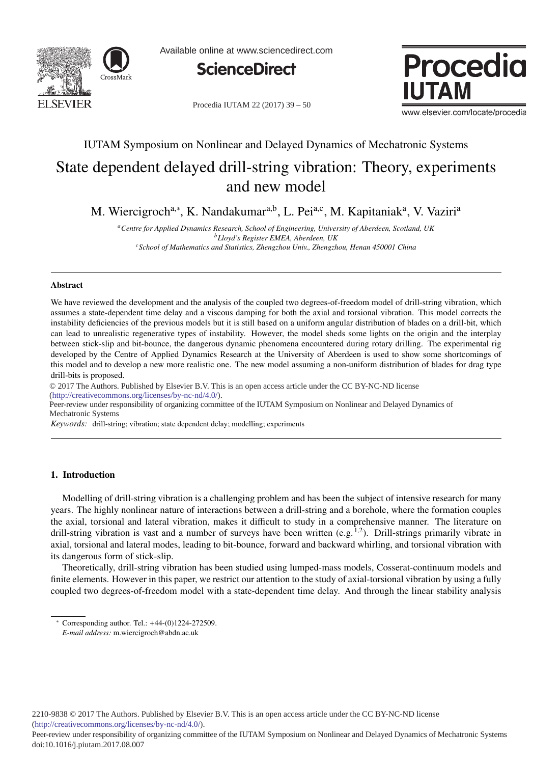

Available online at www.sciencedirect.com



Procedia IUTAM 22 (2017) 39 - 50

Procedia **IUTAM** 

www.elsevier.com/locate/procedia

# IUTAM Symposium on Nonlinear and Delayed Dynamics of Mechatronic Systems State dependent delayed drill-string vibration: Theory, experiments and new model

M. Wiercigroch<sup>a,∗</sup>, K. Nandakumar<sup>a,b</sup>, L. Pei<sup>a,c</sup>, M. Kapitaniak<sup>a</sup>, V. Vaziri<sup>a</sup>

*aCentre for Applied Dynamics Research, School of Engineering, University of Aberdeen, Scotland, UK bLloyd's Register EMEA, Aberdeen, UK cSchool of Mathematics and Statistics, Zhengzhou Univ., Zhengzhou, Henan 450001 China*

# Abstract

We have reviewed the development and the analysis of the coupled two degrees-of-freedom model of drill-string vibration, which assumes a state-dependent time delay and a viscous damping for both the axial and torsional vibration. This model corrects the instability deficiencies of the previous models but it is still based on a uniform angular distribution of blades on a drill-bit, which can lead to unrealistic regenerative types of instability. However, the model sheds some lights on the origin and the interplay between stick-slip and bit-bounce, the dangerous dynamic phenomena encountered during rotary drilling. The experimental rig developed by the Centre of Applied Dynamics Research at the University of Aberdeen is used to show some shortcomings of this model and to develop a new more realistic one. The new model assuming a non-uniform distribution of blades for drag type drill-bits is proposed.

c 2017 The Authors. Published by Elsevier B.V. © 2017 The Authors. Published by Elsevier B.V. This is an open access article under the CC BY-NC-ND license (http://creativecommons.org/licenses/by-nc-nd/4.0/).

Peer-review under responsibility of organizing committee of the IUTAM Symposium on Nonlinear and Delayed Dynamics of Mechatronic Systems

*Keywords:* drill-string; vibration; state dependent delay; modelling; experiments

# 1. Introduction

Modelling of drill-string vibration is a challenging problem and has been the subject of intensive research for many years. The highly nonlinear nature of interactions between a drill-string and a borehole, where the formation couples the axial, torsional and lateral vibration, makes it difficult to study in a comprehensive manner. The literature on drill-string vibration is vast and a number of surveys have been written (e.g.  $^{1,2}$ ). Drill-strings primarily vibrate in axial, torsional and lateral modes, leading to bit-bounce, forward and backward whirling, and torsional vibration with its dangerous form of stick-slip.

Theoretically, drill-string vibration has been studied using lumped-mass models, Cosserat-continuum models and finite elements. However in this paper, we restrict our attention to the study of axial-torsional vibration by using a fully coupled two degrees-of-freedom model with a state-dependent time delay. And through the linear stability analysis

<sup>∗</sup> Corresponding author. Tel.: +44-(0)1224-272509.

*E-mail address:* m.wiercigroch@abdn.ac.uk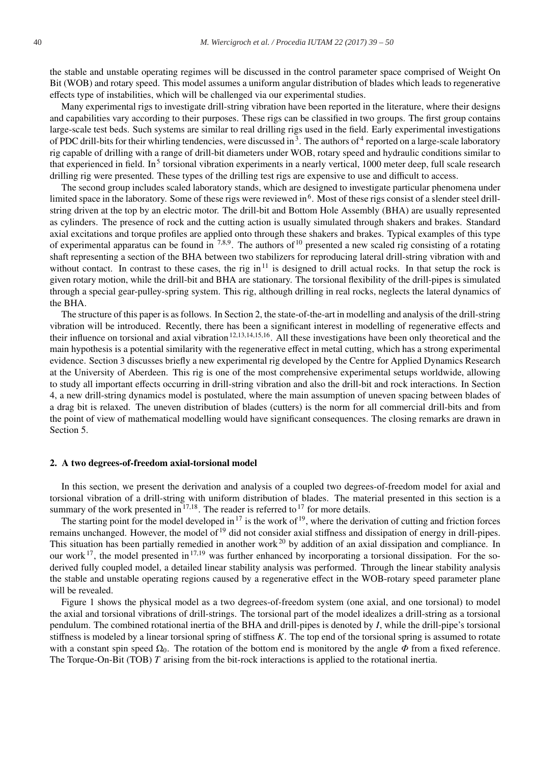the stable and unstable operating regimes will be discussed in the control parameter space comprised of Weight On Bit (WOB) and rotary speed. This model assumes a uniform angular distribution of blades which leads to regenerative effects type of instabilities, which will be challenged via our experimental studies.

Many experimental rigs to investigate drill-string vibration have been reported in the literature, where their designs and capabilities vary according to their purposes. These rigs can be classified in two groups. The first group contains large-scale test beds. Such systems are similar to real drilling rigs used in the field. Early experimental investigations of PDC drill-bits for their whirling tendencies, were discussed in<sup>3</sup>. The authors of  $4$  reported on a large-scale laboratory rig capable of drilling with a range of drill-bit diameters under WOB, rotary speed and hydraulic conditions similar to that experienced in field. In<sup>5</sup> torsional vibration experiments in a nearly vertical, 1000 meter deep, full scale research drilling rig were presented. These types of the drilling test rigs are expensive to use and difficult to access.

The second group includes scaled laboratory stands, which are designed to investigate particular phenomena under limited space in the laboratory. Some of these rigs were reviewed in<sup>6</sup>. Most of these rigs consist of a slender steel drillstring driven at the top by an electric motor. The drill-bit and Bottom Hole Assembly (BHA) are usually represented as cylinders. The presence of rock and the cutting action is usually simulated through shakers and brakes. Standard axial excitations and torque profiles are applied onto through these shakers and brakes. Typical examples of this type of experimental apparatus can be found in  $^{7,8,9}$ . The authors of  $^{10}$  presented a new scaled rig consisting of a rotating shaft representing a section of the BHA between two stabilizers for reproducing lateral drill-string vibration with and without contact. In contrast to these cases, the rig in  $11$  is designed to drill actual rocks. In that setup the rock is given rotary motion, while the drill-bit and BHA are stationary. The torsional flexibility of the drill-pipes is simulated through a special gear-pulley-spring system. This rig, although drilling in real rocks, neglects the lateral dynamics of the BHA.

The structure of this paper is as follows. In Section 2, the state-of-the-art in modelling and analysis of the drill-string vibration will be introduced. Recently, there has been a significant interest in modelling of regenerative effects and their influence on torsional and axial vibration<sup>12,13,14,15,16</sup>. All these investigations have been only theoretical and the main hypothesis is a potential similarity with the regenerative effect in metal cutting, which has a strong experimental evidence. Section 3 discusses briefly a new experimental rig developed by the Centre for Applied Dynamics Research at the University of Aberdeen. This rig is one of the most comprehensive experimental setups worldwide, allowing to study all important effects occurring in drill-string vibration and also the drill-bit and rock interactions. In Section 4, a new drill-string dynamics model is postulated, where the main assumption of uneven spacing between blades of a drag bit is relaxed. The uneven distribution of blades (cutters) is the norm for all commercial drill-bits and from the point of view of mathematical modelling would have significant consequences. The closing remarks are drawn in Section 5.

#### 2. A two degrees-of-freedom axial-torsional model

In this section, we present the derivation and analysis of a coupled two degrees-of-freedom model for axial and torsional vibration of a drill-string with uniform distribution of blades. The material presented in this section is a summary of the work presented in  $17,18$ . The reader is referred to  $17$  for more details.

The starting point for the model developed in<sup>17</sup> is the work of <sup>19</sup>, where the derivation of cutting and friction forces remains unchanged. However, the model of <sup>19</sup> did not consider axial stiffness and dissipation of energy in drill-pipes. This situation has been partially remedied in another work<sup>20</sup> by addition of an axial dissipation and compliance. In our work<sup>17</sup>, the model presented in<sup>17,19</sup> was further enhanced by incorporating a torsional dissipation. For the soderived fully coupled model, a detailed linear stability analysis was performed. Through the linear stability analysis the stable and unstable operating regions caused by a regenerative effect in the WOB-rotary speed parameter plane will be revealed.

Figure 1 shows the physical model as a two degrees-of-freedom system (one axial, and one torsional) to model the axial and torsional vibrations of drill-strings. The torsional part of the model idealizes a drill-string as a torsional pendulum. The combined rotational inertia of the BHA and drill-pipes is denoted by *I*, while the drill-pipe's torsional stiffness is modeled by a linear torsional spring of stiffness *K*. The top end of the torsional spring is assumed to rotate with a constant spin speed  $\Omega_0$ . The rotation of the bottom end is monitored by the angle  $\Phi$  from a fixed reference. The Torque-On-Bit (TOB) *T* arising from the bit-rock interactions is applied to the rotational inertia.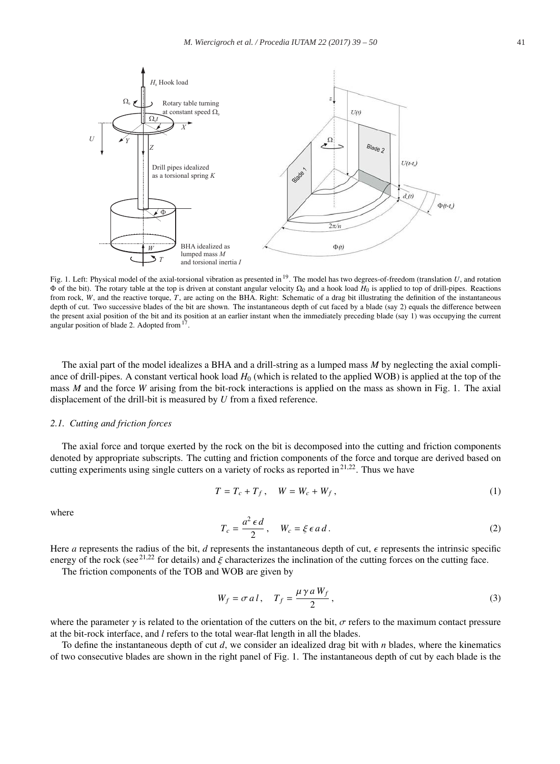

Fig. 1. Left: Physical model of the axial-torsional vibration as presented in 19. The model has two degrees-of-freedom (translation *U*, and rotation Φ of the bit). The rotary table at the top is driven at constant angular velocity  $Ω_0$  and a hook load  $H_0$  is applied to top of drill-pipes. Reactions from rock, *W*, and the reactive torque, *T*, are acting on the BHA. Right: Schematic of a drag bit illustrating the definition of the instantaneous depth of cut. Two successive blades of the bit are shown. The instantaneous depth of cut faced by a blade (say 2) equals the difference between the present axial position of the bit and its position at an earlier instant when the immediately preceding blade (say 1) was occupying the current angular position of blade 2. Adopted from <sup>17</sup>

The axial part of the model idealizes a BHA and a drill-string as a lumped mass *M* by neglecting the axial compliance of drill-pipes. A constant vertical hook load  $H_0$  (which is related to the applied WOB) is applied at the top of the mass *M* and the force *W* arising from the bit-rock interactions is applied on the mass as shown in Fig. 1. The axial displacement of the drill-bit is measured by *U* from a fixed reference.

#### *2.1. Cutting and friction forces*

The axial force and torque exerted by the rock on the bit is decomposed into the cutting and friction components denoted by appropriate subscripts. The cutting and friction components of the force and torque are derived based on cutting experiments using single cutters on a variety of rocks as reported in  $21,22$ . Thus we have

$$
T = T_c + T_f, \quad W = W_c + W_f, \tag{1}
$$

where

$$
T_c = \frac{a^2 \epsilon d}{2}, \quad W_c = \xi \epsilon a d. \tag{2}
$$

Here *a* represents the radius of the bit, *d* represents the instantaneous depth of cut,  $\epsilon$  represents the intrinsic specific energy of the rock (see <sup>21,22</sup> for details) and  $\xi$  characterizes the inclination of the cutting forces on the cutting face.

The friction components of the TOB and WOB are given by

$$
W_f = \sigma \, a \, l, \quad T_f = \frac{\mu \, \gamma \, a \, W_f}{2} \,, \tag{3}
$$

where the parameter  $\gamma$  is related to the orientation of the cutters on the bit,  $\sigma$  refers to the maximum contact pressure at the bit-rock interface, and *l* refers to the total wear-flat length in all the blades.

To define the instantaneous depth of cut *d*, we consider an idealized drag bit with *n* blades, where the kinematics of two consecutive blades are shown in the right panel of Fig. 1. The instantaneous depth of cut by each blade is the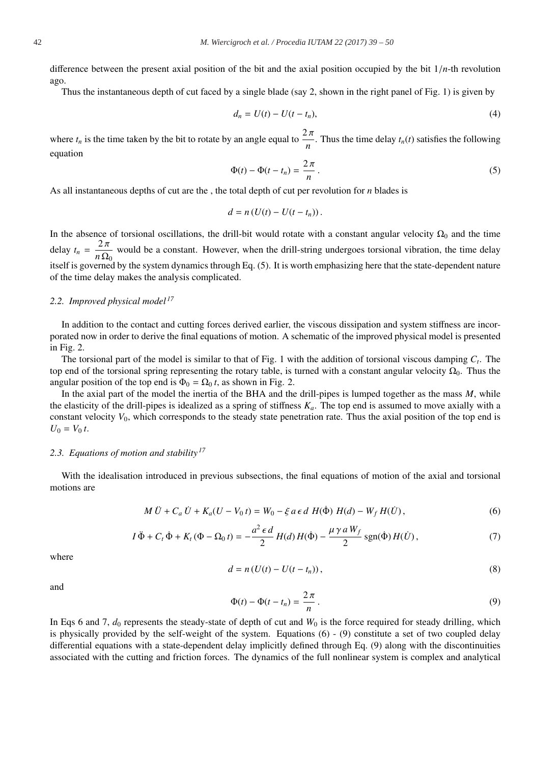difference between the present axial position of the bit and the axial position occupied by the bit 1/*n*-th revolution ago.

Thus the instantaneous depth of cut faced by a single blade (say 2, shown in the right panel of Fig. 1) is given by

$$
d_n = U(t) - U(t - t_n),\tag{4}
$$

where  $t_n$  is the time taken by the bit to rotate by an angle equal to  $\frac{2\pi}{n}$ . Thus the time delay  $t_n(t)$  satisfies the following equation

$$
\Phi(t) - \Phi(t - t_n) = \frac{2\pi}{n} \,. \tag{5}
$$

As all instantaneous depths of cut are the , the total depth of cut per revolution for *n* blades is

$$
d = n\left(U(t) - U(t - t_n)\right).
$$

In the absence of torsional oscillations, the drill-bit would rotate with a constant angular velocity  $\Omega_0$  and the time delay  $t_n = \frac{2\pi}{n\Omega_0}$  would be a constant. However, when the drill-string undergoes torsional vibration, the time delay itself is governed by the system dynamics through Eq. (5). It is worth emphasizing here that the state-dependent nature of the time delay makes the analysis complicated.

# *2.2. Improved physical model <sup>17</sup>*

In addition to the contact and cutting forces derived earlier, the viscous dissipation and system stiffness are incorporated now in order to derive the final equations of motion. A schematic of the improved physical model is presented in Fig. 2.

The torsional part of the model is similar to that of Fig. 1 with the addition of torsional viscous damping  $C_t$ . The top end of the torsional spring representing the rotary table, is turned with a constant angular velocity  $\Omega_0$ . Thus the angular position of the top end is  $\Phi_0 = \Omega_0 t$ , as shown in Fig. 2.

In the axial part of the model the inertia of the BHA and the drill-pipes is lumped together as the mass *M*, while the elasticity of the drill-pipes is idealized as a spring of stiffness *Ka*. The top end is assumed to move axially with a constant velocity *V*0, which corresponds to the steady state penetration rate. Thus the axial position of the top end is  $U_0 = V_0 t$ .

### *2.3. Equations of motion and stability <sup>17</sup>*

With the idealisation introduced in previous subsections, the final equations of motion of the axial and torsional motions are

$$
M\ddot{U} + C_a \dot{U} + K_a (U - V_0 t) = W_0 - \xi a \epsilon d H(\dot{\Phi}) H(d) - W_f H(\dot{U}),
$$
\n(6)

$$
I\ddot{\Phi} + C_t \dot{\Phi} + K_t (\Phi - \Omega_0 t) = -\frac{a^2 \epsilon d}{2} H(d) H(\dot{\Phi}) - \frac{\mu \gamma a W_f}{2} \text{sgn}(\dot{\Phi}) H(\dot{U}), \tag{7}
$$

where

$$
d = n\left(U(t) - U(t - t_n)\right),\tag{8}
$$

and

$$
\Phi(t) - \Phi(t - t_n) = \frac{2\pi}{n} \,. \tag{9}
$$

In Eqs 6 and 7,  $d_0$  represents the steady-state of depth of cut and  $W_0$  is the force required for steady drilling, which is physically provided by the self-weight of the system. Equations (6) - (9) constitute a set of two coupled delay differential equations with a state-dependent delay implicitly defined through Eq. (9) along with the discontinuities associated with the cutting and friction forces. The dynamics of the full nonlinear system is complex and analytical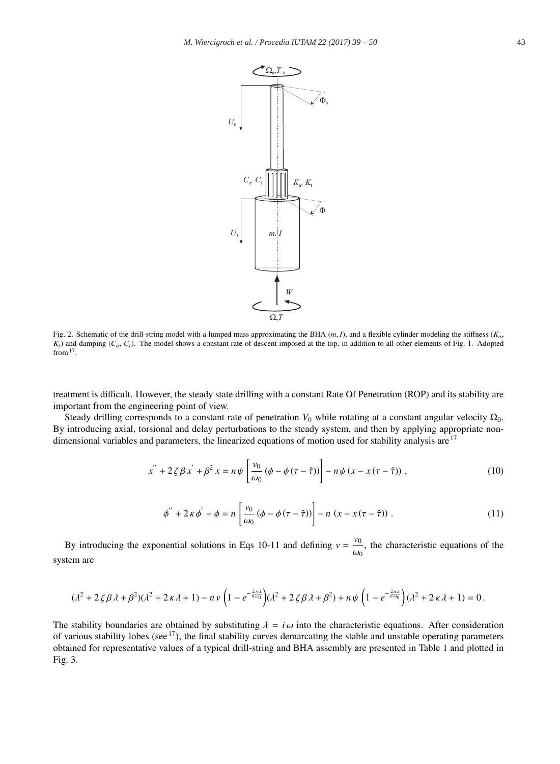

Fig. 2. Schematic of the drill-string model with a lumped mass approximating the BHA (*m*, *I*), and a flexible cylinder modeling the stiffness (*Ka*,  $K_t$ ) and damping  $(C_a, C_t)$ . The model shows a constant rate of descent imposed at the top, in addition to all other elements of Fig. 1. Adopted from  $17$ .

treatment is difficult. However, the steady state drilling with a constant Rate Of Penetration (ROP) and its stability are important from the engineering point of view.

Steady drilling corresponds to a constant rate of penetration  $V_0$  while rotating at a constant angular velocity  $\Omega_0$ . By introducing axial, torsional and delay perturbations to the steady system, and then by applying appropriate nondimensional variables and parameters, the linearized equations of motion used for stability analysis are <sup>17</sup>

$$
x'' + 2\zeta\beta x' + \beta^2 x = n\psi \left[ \frac{v_0}{\omega_0} \left( \phi - \phi(\tau - \hat{\tau}) \right) \right] - n\psi \left( x - x(\tau - \hat{\tau}) \right) , \qquad (10)
$$

$$
\phi'' + 2\kappa \phi' + \phi = n \left[ \frac{v_0}{\omega_0} \left( \phi - \phi (\tau - \hat{\tau}) \right) \right] - n \left( x - x(\tau - \hat{\tau}) \right). \tag{11}
$$

By introducing the exponential solutions in Eqs 10-11 and defining  $v = \frac{v_0}{\omega_0}$ , the characteristic equations of the system are

$$
(\lambda^2+2\zeta\beta\lambda+\beta^2)(\lambda^2+2\kappa\lambda+1)-n\nu\left(1-e^{-\frac{2\pi\lambda}{n\omega_0}}\right)(\lambda^2+2\zeta\beta\lambda+\beta^2)+n\psi\left(1-e^{-\frac{2\pi\lambda}{n\omega_0}}\right)(\lambda^2+2\kappa\lambda+1)=0\,.
$$

The stability boundaries are obtained by substituting  $\lambda = i\omega$  into the characteristic equations. After consideration of various stability lobes (see  $17$ ), the final stability curves demarcating the stable and unstable operating parameters obtained for representative values of a typical drill-string and BHA assembly are presented in Table 1 and plotted in Fig. 3.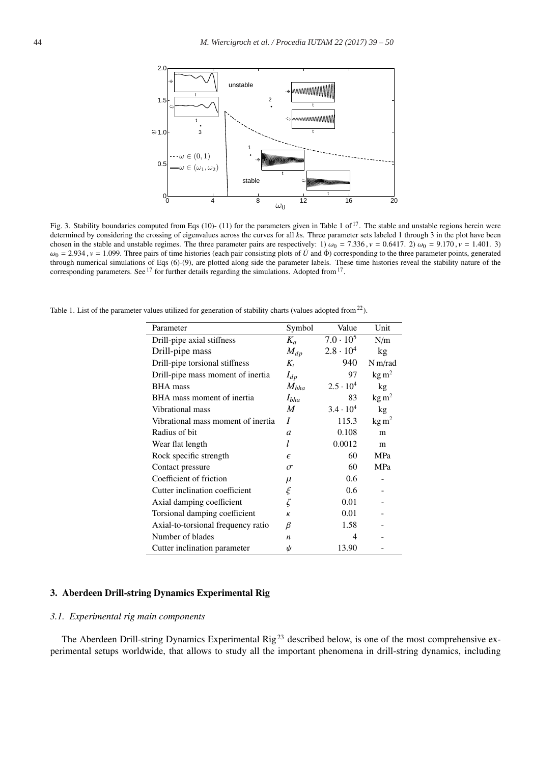

Fig. 3. Stability boundaries computed from Eqs (10)- (11) for the parameters given in Table 1 of  $17$ . The stable and unstable regions herein were determined by considering the crossing of eigenvalues across the curves for all *k*s. Three parameter sets labeled 1 through 3 in the plot have been chosen in the stable and unstable regimes. The three parameter pairs are respectively: 1)  $\omega_0 = 7.336$ ,  $v = 0.6417$ . 2)  $\omega_0 = 9.170$ ,  $v = 1.401$ . 3)  $\omega_0 = 2.934$ ,  $v = 1.099$ . Three pairs of time histories (each pair consisting plots of *U* and Φ) corresponding to the three parameter points, generated through numerical simulations of Eqs (6)-(9), are plotted along side the parameter labels. These time histories reveal the stability nature of the corresponding parameters. See  $17$  for further details regarding the simulations. Adopted from  $17$ .

Table 1. List of the parameter values utilized for generation of stability charts (values adopted from  $^{22}$ ).

| Parameter                          | Symbol           | Value              | Unit              |
|------------------------------------|------------------|--------------------|-------------------|
| Drill-pipe axial stiffness         | $K_a$            | $7.0 \cdot 10^5$   | N/m               |
| Drill-pipe mass                    | $M_{dp}$         | $2.8 \cdot 10^{4}$ | kg                |
| Drill-pipe torsional stiffness     | $K_t$            | 940                | N m/rad           |
| Drill-pipe mass moment of inertia  | $I_{dp}$         | 97                 | kg m <sup>2</sup> |
| <b>BHA</b> mass                    | $M_{bha}$        | $2.5 \cdot 10^{4}$ | kg                |
| BHA mass moment of inertia         | $I_{bha}$        | 83                 | kg m <sup>2</sup> |
| Vibrational mass                   | M                | $3.4 \cdot 10^{4}$ | kg                |
| Vibrational mass moment of inertia | I                | 115.3              | $\text{kg m}^2$   |
| Radius of bit                      | a                | 0.108              | m                 |
| Wear flat length                   | l                | 0.0012             | m                 |
| Rock specific strength             | $\epsilon$       | 60                 | MPa               |
| Contact pressure                   | $\sigma$         | 60                 | MPa               |
| Coefficient of friction            | $\mu$            | 0.6                |                   |
| Cutter inclination coefficient     | $\xi$            | 0.6                |                   |
| Axial damping coefficient          | $\zeta$          | 0.01               |                   |
| Torsional damping coefficient      | $\kappa$         | 0.01               |                   |
| Axial-to-torsional frequency ratio | β                | 1.58               |                   |
| Number of blades                   | $\boldsymbol{n}$ | 4                  |                   |
| Cutter inclination parameter       | ψ                | 13.90              |                   |

# 3. Aberdeen Drill-string Dynamics Experimental Rig

# *3.1. Experimental rig main components*

The Aberdeen Drill-string Dynamics Experimental Rig<sup>23</sup> described below, is one of the most comprehensive experimental setups worldwide, that allows to study all the important phenomena in drill-string dynamics, including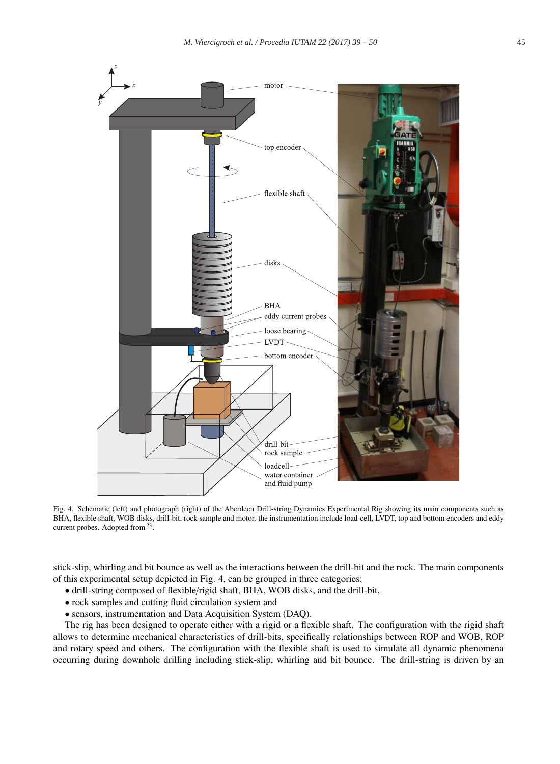

Fig. 4. Schematic (left) and photograph (right) of the Aberdeen Drill-string Dynamics Experimental Rig showing its main components such as BHA, flexible shaft, WOB disks, drill-bit, rock sample and motor. the instrumentation include load-cell, LVDT, top and bottom encoders and eddy current probes. Adopted from <sup>23</sup>.

stick-slip, whirling and bit bounce as well as the interactions between the drill-bit and the rock. The main components of this experimental setup depicted in Fig. 4, can be grouped in three categories:

- drill-string composed of flexible/rigid shaft, BHA, WOB disks, and the drill-bit,
- rock samples and cutting fluid circulation system and
- sensors, instrumentation and Data Acquisition System (DAQ).

The rig has been designed to operate either with a rigid or a flexible shaft. The configuration with the rigid shaft allows to determine mechanical characteristics of drill-bits, specifically relationships between ROP and WOB, ROP and rotary speed and others. The configuration with the flexible shaft is used to simulate all dynamic phenomena occurring during downhole drilling including stick-slip, whirling and bit bounce. The drill-string is driven by an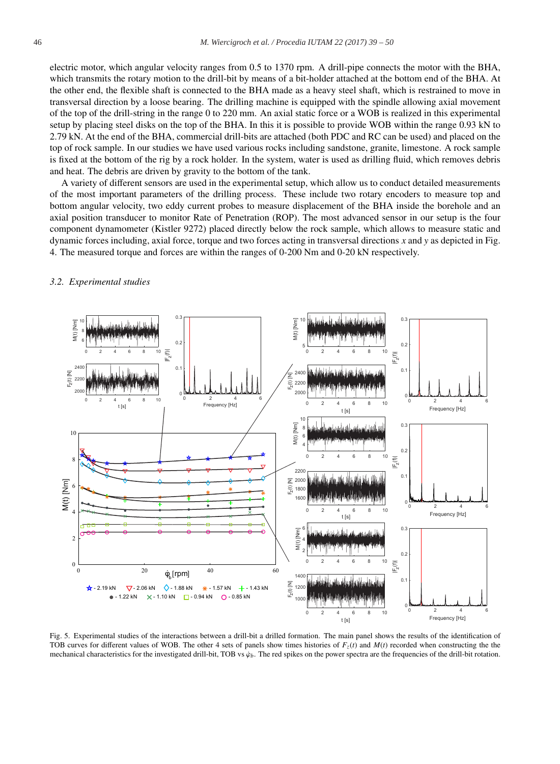electric motor, which angular velocity ranges from 0.5 to 1370 rpm. A drill-pipe connects the motor with the BHA, which transmits the rotary motion to the drill-bit by means of a bit-holder attached at the bottom end of the BHA. At the other end, the flexible shaft is connected to the BHA made as a heavy steel shaft, which is restrained to move in transversal direction by a loose bearing. The drilling machine is equipped with the spindle allowing axial movement of the top of the drill-string in the range 0 to 220 mm. An axial static force or a WOB is realized in this experimental setup by placing steel disks on the top of the BHA. In this it is possible to provide WOB within the range 0.93 kN to 2.79 kN. At the end of the BHA, commercial drill-bits are attached (both PDC and RC can be used) and placed on the top of rock sample. In our studies we have used various rocks including sandstone, granite, limestone. A rock sample is fixed at the bottom of the rig by a rock holder. In the system, water is used as drilling fluid, which removes debris and heat. The debris are driven by gravity to the bottom of the tank.

A variety of different sensors are used in the experimental setup, which allow us to conduct detailed measurements of the most important parameters of the drilling process. These include two rotary encoders to measure top and bottom angular velocity, two eddy current probes to measure displacement of the BHA inside the borehole and an axial position transducer to monitor Rate of Penetration (ROP). The most advanced sensor in our setup is the four component dynamometer (Kistler 9272) placed directly below the rock sample, which allows to measure static and dynamic forces including, axial force, torque and two forces acting in transversal directions *x* and *y* as depicted in Fig. 4. The measured torque and forces are within the ranges of 0-200 Nm and 0-20 kN respectively.

#### *3.2. Experimental studies*



Fig. 5. Experimental studies of the interactions between a drill-bit a drilled formation. The main panel shows the results of the identification of TOB curves for different values of WOB. The other 4 sets of panels show times histories of  $F<sub>z</sub>(t)$  and  $M(t)$  recorded when constructing the the mechanical characteristics for the investigated drill-bit, TOB vs  $\dot{\varphi}_b$ . The red spikes on the power spectra are the frequencies of the drill-bit rotation.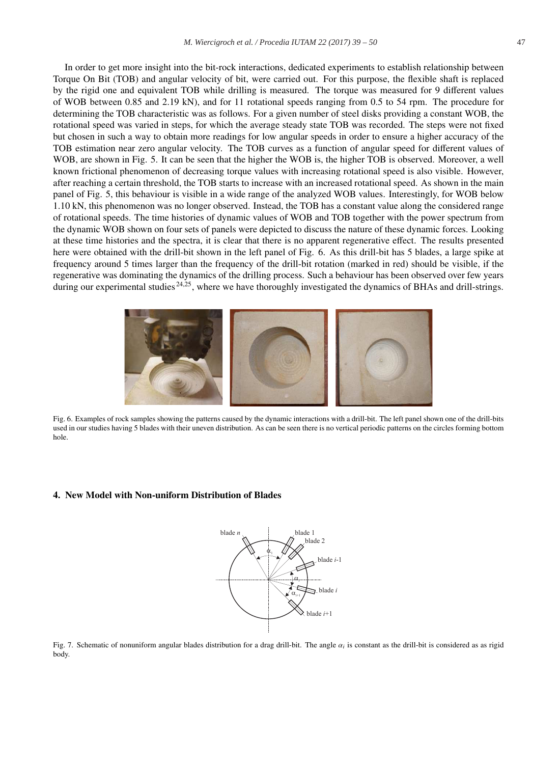In order to get more insight into the bit-rock interactions, dedicated experiments to establish relationship between Torque On Bit (TOB) and angular velocity of bit, were carried out. For this purpose, the flexible shaft is replaced by the rigid one and equivalent TOB while drilling is measured. The torque was measured for 9 different values of WOB between 0.85 and 2.19 kN), and for 11 rotational speeds ranging from 0.5 to 54 rpm. The procedure for determining the TOB characteristic was as follows. For a given number of steel disks providing a constant WOB, the rotational speed was varied in steps, for which the average steady state TOB was recorded. The steps were not fixed but chosen in such a way to obtain more readings for low angular speeds in order to ensure a higher accuracy of the TOB estimation near zero angular velocity. The TOB curves as a function of angular speed for different values of WOB, are shown in Fig. 5. It can be seen that the higher the WOB is, the higher TOB is observed. Moreover, a well known frictional phenomenon of decreasing torque values with increasing rotational speed is also visible. However, after reaching a certain threshold, the TOB starts to increase with an increased rotational speed. As shown in the main panel of Fig. 5, this behaviour is visible in a wide range of the analyzed WOB values. Interestingly, for WOB below 1.10 kN, this phenomenon was no longer observed. Instead, the TOB has a constant value along the considered range of rotational speeds. The time histories of dynamic values of WOB and TOB together with the power spectrum from the dynamic WOB shown on four sets of panels were depicted to discuss the nature of these dynamic forces. Looking at these time histories and the spectra, it is clear that there is no apparent regenerative effect. The results presented here were obtained with the drill-bit shown in the left panel of Fig. 6. As this drill-bit has 5 blades, a large spike at frequency around 5 times larger than the frequency of the drill-bit rotation (marked in red) should be visible, if the regenerative was dominating the dynamics of the drilling process. Such a behaviour has been observed over few years during our experimental studies <sup>24,25</sup>, where we have thoroughly investigated the dynamics of BHAs and drill-strings.



Fig. 6. Examples of rock samples showing the patterns caused by the dynamic interactions with a drill-bit. The left panel shown one of the drill-bits used in our studies having 5 blades with their uneven distribution. As can be seen there is no vertical periodic patterns on the circles forming bottom hole.

## 4. New Model with Non-uniform Distribution of Blades



Fig. 7. Schematic of nonuniform angular blades distribution for a drag drill-bit. The angle α*<sup>i</sup>* is constant as the drill-bit is considered as as rigid body.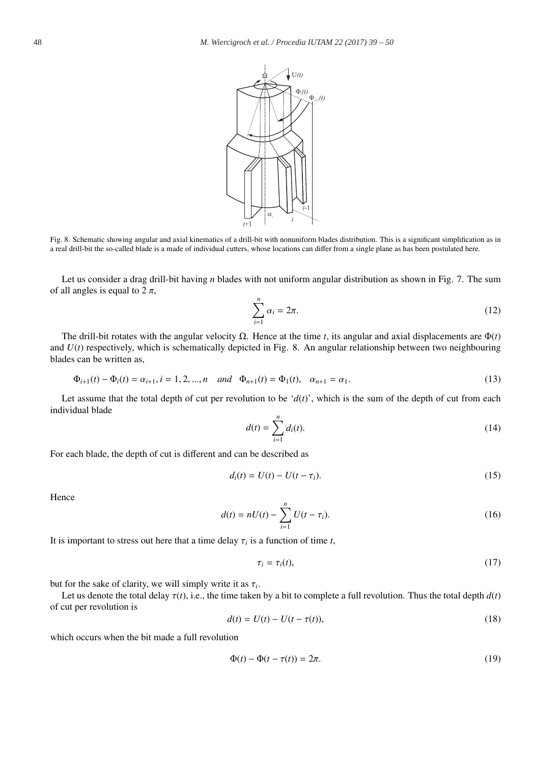

Fig. 8. Schematic showing angular and axial kinematics of a drill-bit with nonuniform blades distribution. This is a significant simplification as in a real drill-bit the so-called blade is a made of individual cutters, whose locations can differ from a single plane as has been postulated here.

Let us consider a drag drill-bit having *n* blades with not uniform angular distribution as shown in Fig. 7. The sum of all angles is equal to  $2 \pi$ ,

$$
\sum_{i=1}^{n} \alpha_i = 2\pi. \tag{12}
$$

The drill-bit rotates with the angular velocity Ω. Hence at the time *t*, its angular and axial displacements are Φ(*t*) and  $U(t)$  respectively, which is schematically depicted in Fig. 8. An angular relationship between two neighbouring blades can be written as,

$$
\Phi_{i+1}(t) - \Phi_i(t) = \alpha_{i+1}, i = 1, 2, ..., n \quad and \quad \Phi_{n+1}(t) = \Phi_1(t), \quad \alpha_{n+1} = \alpha_1.
$$
\n(13)

Let assume that the total depth of cut per revolution to be  $d(t)$ ', which is the sum of the depth of cut from each individual blade

$$
d(t) = \sum_{i=1}^{n} d_i(t).
$$
 (14)

For each blade, the depth of cut is different and can be described as

$$
d_i(t) = U(t) - U(t - \tau_i). \tag{15}
$$

Hence

$$
d(t) = nU(t) - \sum_{i=1}^{n} U(t - \tau_i).
$$
 (16)

It is important to stress out here that a time delay  $\tau_i$  is a function of time *t*,

$$
\tau_i = \tau_i(t),\tag{17}
$$

but for the sake of clarity, we will simply write it as  $\tau_i$ .

Let us denote the total delay  $\tau(t)$ , i.e., the time taken by a bit to complete a full revolution. Thus the total depth  $d(t)$ of cut per revolution is

$$
d(t) = U(t) - U(t - \tau(t)),
$$
\n(18)

which occurs when the bit made a full revolution

$$
\Phi(t) - \Phi(t - \tau(t)) = 2\pi.
$$
\n(19)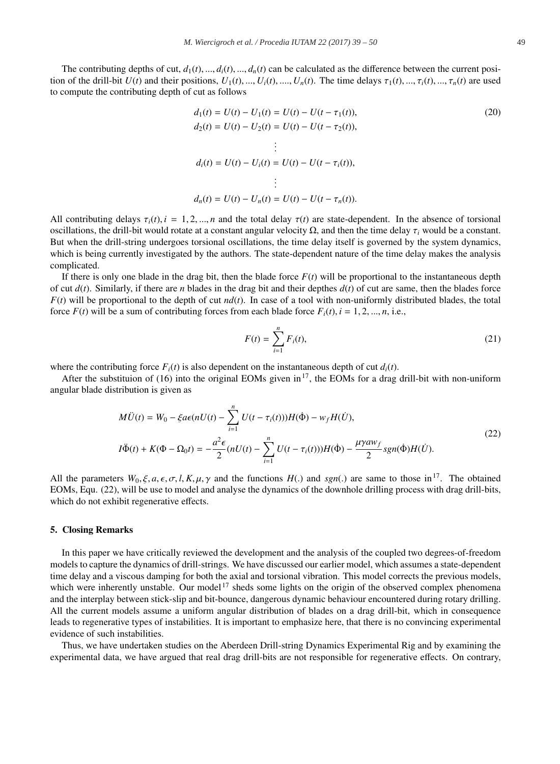The contributing depths of cut,  $d_1(t), ..., d_i(t), ..., d_n(t)$  can be calculated as the difference between the current position of the drill-bit  $U(t)$  and their positions,  $U_1(t),..., U_i(t),..., U_n(t)$ . The time delays  $\tau_1(t),...,\tau_i(t),...,\tau_n(t)$  are used to compute the contributing depth of cut as follows

$$
d_1(t) = U(t) - U_1(t) = U(t) - U(t - \tau_1(t)),
$$
\n
$$
d_2(t) = U(t) - U_2(t) = U(t) - U(t - \tau_2(t)),
$$
\n
$$
\vdots
$$
\n
$$
d_i(t) = U(t) - U_i(t) = U(t) - U(t - \tau_i(t)),
$$
\n
$$
\vdots
$$
\n
$$
d_n(t) = U(t) - U_n(t) = U(t) - U(t - \tau_n(t)).
$$
\n(20)

All contributing delays  $\tau_i(t)$ ,  $i = 1, 2, ..., n$  and the total delay  $\tau(t)$  are state-dependent. In the absence of torsional oscillations, the drill-bit would rotate at a constant angular velocity Ω, and then the time delay τ*<sup>i</sup>* would be a constant. But when the drill-string undergoes torsional oscillations, the time delay itself is governed by the system dynamics, which is being currently investigated by the authors. The state-dependent nature of the time delay makes the analysis complicated.

If there is only one blade in the drag bit, then the blade force  $F(t)$  will be proportional to the instantaneous depth of cut  $d(t)$ . Similarly, if there are *n* blades in the drag bit and their depthes  $d(t)$  of cut are same, then the blades force  $F(t)$  will be proportional to the depth of cut  $nd(t)$ . In case of a tool with non-uniformly distributed blades, the total force  $F(t)$  will be a sum of contributing forces from each blade force  $F_i(t)$ ,  $i = 1, 2, ..., n$ , i.e.,

$$
F(t) = \sum_{i=1}^{n} F_i(t),
$$
\n(21)

where the contributing force  $F_i(t)$  is also dependent on the instantaneous depth of cut  $d_i(t)$ .

After the substituion of (16) into the original EOMs given in<sup>17</sup>, the EOMs for a drag drill-bit with non-uniform angular blade distribution is given as

$$
M\ddot{U}(t) = W_0 - \xi a \epsilon(nU(t) - \sum_{i=1}^n U(t - \tau_i(t)))H(\dot{\Phi}) - w_f H(\dot{U}),
$$
  
\n
$$
I\ddot{\Phi}(t) + K(\Phi - \Omega_0 t) = -\frac{a^2 \epsilon}{2}(nU(t) - \sum_{i=1}^n U(t - \tau_i(t)))H(\dot{\Phi}) - \frac{\mu \gamma a w_f}{2} sgn(\dot{\Phi})H(\dot{U}).
$$
\n(22)

All the parameters  $W_0, \xi, a, \epsilon, \sigma, l, K, \mu, \gamma$  and the functions  $H(.)$  and  $sgn(.)$  are same to those in<sup>17</sup>. The obtained EOMs, Equ. (22), will be use to model and analyse the dynamics of the downhole drilling process with drag drill-bits, which do not exhibit regenerative effects.

## 5. Closing Remarks

In this paper we have critically reviewed the development and the analysis of the coupled two degrees-of-freedom models to capture the dynamics of drill-strings. We have discussed our earlier model, which assumes a state-dependent time delay and a viscous damping for both the axial and torsional vibration. This model corrects the previous models, which were inherently unstable. Our model<sup>17</sup> sheds some lights on the origin of the observed complex phenomena and the interplay between stick-slip and bit-bounce, dangerous dynamic behaviour encountered during rotary drilling. All the current models assume a uniform angular distribution of blades on a drag drill-bit, which in consequence leads to regenerative types of instabilities. It is important to emphasize here, that there is no convincing experimental evidence of such instabilities.

Thus, we have undertaken studies on the Aberdeen Drill-string Dynamics Experimental Rig and by examining the experimental data, we have argued that real drag drill-bits are not responsible for regenerative effects. On contrary,